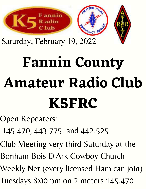

Saturday, February 19, 2022

## **Fannin County Amateur Radio Club K5FRC**

Open Repeaters:

- 145.470, 443.775. and 442.525
- Club Meeting very third Saturday at the
- Bonham Bois D'Ark Cowboy Church
- Weekly Net (every licensed Ham can join)
- Tuesdays 8:00 pm on 2 meters 145.470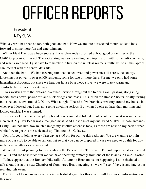# OFFICER REPORTS

#### President KF5KUW

What a year it has been so far, both good and bad. Now we are into our second month, so let's look forward to some more fun and entertainment.

Winter Field Day was a huge success! I was pleasantly surprised at how good our entries to the Chili/Soup cook-off tasted. The socializing was so rewarding, and top that off with some radio contacts, and what a weekend. I just have to remember to turn on the wireless router's multicast, so all the laptops can interact with the central data file…

And then the bad… We had freezing rain that coated trees and powerlines all across the county, knocking out power to over 6,000 residents, some for two or more days. For me, we only had some intermittent dropouts, but since we heat our house by a wood stove, we were toasty warm and comfortable. But not my antennas.

I was working with the National Weather Service throughout the freezing rain, passing along icing reports, trees down, power off, and slick bridges and roads. This lasted for almost 5 hours, finally turning into sleet and snow around 2:00 am. What a night. I heard a few branches breaking around my house, but whenever I looked out, I was not seeing anything serious. But when I woke up later than morning and looked outside, I was stunned.

I lost every HF antenna except my brand new terminated folded dipole (but the mast it was on became a pretzel). My Hex Beam was a mangled mess. And I lost one of my dual band VHF/UHF base antennas. Lastly, I am not sure how much damage my satellite antennas took, as those are now on my back burner while I try to get this mess cleaned up. That took 2-1/2 days...

Don't forget to join us every Tuesday at 8:00 pm for our weekly radio net. We are wanting to train more of our club to be able to run our net so that you can be prepared in case we need to do this for any inclement weather or special event.

We need to start planning for our Radio in the Park at Lake Texoma. Let's build upon what we learned at WFD and see how much fun we can have operating remotely from one of the islands in Lake Texoma.

It does appear that the Bonham bike rally, Autumn in Bonham, is not happening. I am scheduled to talk about this at the next Chamber of Commerce Board meeting, so we will see if there is any interest in reviving this event.

The Spirit of Bonham airshow is being scheduled again for this year. I will have more information on this soon.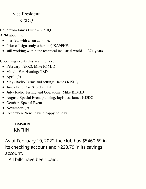#### Vice President KI5DQ

Hello from James Hunt – KI5DQ.

A 'lil about me:

- married, with a son at home.
- Prior callsign (only other one) KA9FHF.
- still working within the technical industrial world ... 37+ years.

Upcoming events this year include:

- February- APRS: Mike K5MJD
- March- Fox Hunting: TBD
- $\bullet$  April- $(?)$
- May- Radio Terms and settings: James KI5DQ
- June- Field Day Secrets: TBD
- July- Radio Testing and Operations: Mike K5MJD
- August- Special Event planning, logistics: James KI5DQ
- October- Special Event
- November- (?)
- December- None, have a happy holiday.

Treasurer KI5FHN

As of February 10, 2022 the club has \$5460.69 in its checking account and \$223.79 in its savings account.

All bills have been paid.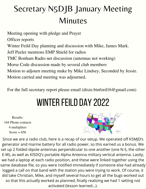### Secretary N5DJB January Meeting Minutes

Meeting opening with pledge and Prayer Officer reports Winter Feild Day planning and discussion with Mike, James Mark. Jeff Peeler mentions EMP Shield for radios TMC Bonham Radio net discussion (antennas not working) Morse Code discussion made by several club members Motion to adjourn meeting make by Mike Lindsey, Seconded by Jessie. Motion carried and meeting was adjourned.

For the full secretary report please email (dixie.binford16@gmail.com)

### WINTER FEILD DAY 2022

Results: 164 Phone contacts 4 multipliers Score =  $656$ 



Since we are a radio club, here is a recap of our setup. We operated off K5MJD's generator and marine battery for all radio power, so this earned us a bonus. We set up 2 folded dipole antennas perpendicular to one another (one N-S, the other E-W), as well as KI5DQ's portable Alpha Antenna military vertical antenna. Lastly, we had a laptop at each radio position, and these were linked together using the same database file, so you were notified immediately if someone else had already logged a call on that band with the station you were trying to work. Of course, it did take Christian, Mike, and myself several hours to get all the bugs worked out so that this actually worked as planned, finally realizing we had 1 setting not activated (lesson learned…).